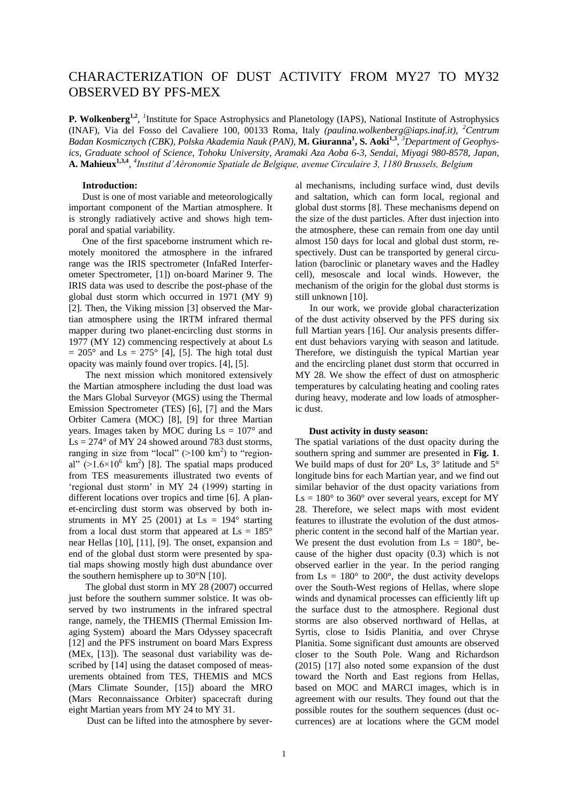# CHARACTERIZATION OF DUST ACTIVITY FROM MY27 TO MY32 OBSERVED BY PFS-MEX

**P.** Wolkenberg<sup>1,2</sup>, <sup>*1*</sup>Institute for Space Astrophysics and Planetology (IAPS), National Institute of Astrophysics (INAF), Via del Fosso del Cavaliere 100, 00133 Roma, Italy *(paulina.wolkenberg@iaps.inaf.it)*, *<sup>2</sup>Centrum Badan Kosmicznych (CBK), Polska Akademia Nauk (PAN),* **M. Giuranna<sup>1</sup> , S. Aoki1,3** , *<sup>3</sup>Department of Geophysics, Graduate school of Science, Tohoku University, Aramaki Aza Aoba 6-3, Sendai, Miyagi 980-8578, Japan,*  **A. Mahieux1,3,4** *, 4 Institut d'Aéronomie Spatiale de Belgique, avenue Circulaire 3, 1180 Brussels, Belgium*

# **Introduction:**

Dust is one of most variable and meteorologically important component of the Martian atmosphere. It is strongly radiatively active and shows high temporal and spatial variability.

One of the first spaceborne instrument which remotely monitored the atmosphere in the infrared range was the IRIS spectrometer (InfaRed Interferometer Spectrometer, [1]) on-board Mariner 9. The IRIS data was used to describe the post-phase of the global dust storm which occurred in 1971 (MY 9) [2]. Then, the Viking mission [3] observed the Martian atmosphere using the IRTM infrared thermal mapper during two planet-encircling dust storms in 1977 (MY 12) commencing respectively at about Ls  $= 205^{\circ}$  and Ls  $= 275^{\circ}$  [4], [5]. The high total dust opacity was mainly found over tropics. [4], [5].

 The next mission which monitored extensively the Martian atmosphere including the dust load was the Mars Global Surveyor (MGS) using the Thermal Emission Spectrometer (TES) [6], [7] and the Mars Orbiter Camera (MOC) [8], [9] for three Martian years. Images taken by MOC during  $\text{Ls} = 107^\circ$  and  $\text{Ls} = 274^{\circ}$  of MY 24 showed around 783 dust storms, ranging in size from "local"  $(>100 \text{ km}^2)$  to "regional"  $(>1.6\times10^6$  km<sup>2</sup>) [8]. The spatial maps produced from TES measurements illustrated two events of 'regional dust storm' in MY 24 (1999) starting in different locations over tropics and time [6]. A planet-encircling dust storm was observed by both instruments in MY 25 (2001) at  $\text{Ls} = 194^\circ$  starting from a local dust storm that appeared at  $\text{Ls} = 185^\circ$ near Hellas [10], [11], [9]. The onset, expansion and end of the global dust storm were presented by spatial maps showing mostly high dust abundance over the southern hemisphere up to 30°N [10].

 The global dust storm in MY 28 (2007) occurred just before the southern summer solstice. It was observed by two instruments in the infrared spectral range, namely, the THEMIS (Thermal Emission Imaging System) aboard the Mars Odyssey spacecraft [12] and the PFS instrument on board Mars Express (MEx, [13]). The seasonal dust variability was described by [14] using the dataset composed of measurements obtained from TES, THEMIS and MCS (Mars Climate Sounder, [15]) aboard the MRO (Mars Reconnaissance Orbiter) spacecraft during eight Martian years from MY 24 to MY 31.

Dust can be lifted into the atmosphere by sever-

al mechanisms, including surface wind, dust devils and saltation, which can form local, regional and global dust storms [8]. These mechanisms depend on the size of the dust particles. After dust injection into the atmosphere, these can remain from one day until almost 150 days for local and global dust storm, respectively. Dust can be transported by general circulation (baroclinic or planetary waves and the Hadley cell), mesoscale and local winds. However, the mechanism of the origin for the global dust storms is still unknown [10].

 In our work, we provide global characterization of the dust activity observed by the PFS during six full Martian years [16]. Our analysis presents different dust behaviors varying with season and latitude. Therefore, we distinguish the typical Martian year and the encircling planet dust storm that occurred in MY 28. We show the effect of dust on atmospheric temperatures by calculating heating and cooling rates during heavy, moderate and low loads of atmospheric dust.

#### **Dust activity in dusty season:**

The spatial variations of the dust opacity during the southern spring and summer are presented in **Fig. 1**. We build maps of dust for 20° Ls, 3° latitude and 5° longitude bins for each Martian year, and we find out similar behavior of the dust opacity variations from  $\text{Ls} = 180^{\circ}$  to 360° over several years, except for MY 28. Therefore, we select maps with most evident features to illustrate the evolution of the dust atmospheric content in the second half of the Martian year. We present the dust evolution from  $\text{Ls} = 180^\circ$ , because of the higher dust opacity (0.3) which is not observed earlier in the year. In the period ranging from  $\text{Ls} = 180^\circ$  to  $200^\circ$ , the dust activity develops over the South-West regions of Hellas, where slope winds and dynamical processes can efficiently lift up the surface dust to the atmosphere. Regional dust storms are also observed northward of Hellas, at Syrtis, close to Isidis Planitia, and over Chryse Planitia. Some significant dust amounts are observed closer to the South Pole. Wang and Richardson (2015) [17] also noted some expansion of the dust toward the North and East regions from Hellas, based on MOC and MARCI images, which is in agreement with our results. They found out that the possible routes for the southern sequences (dust occurrences) are at locations where the GCM model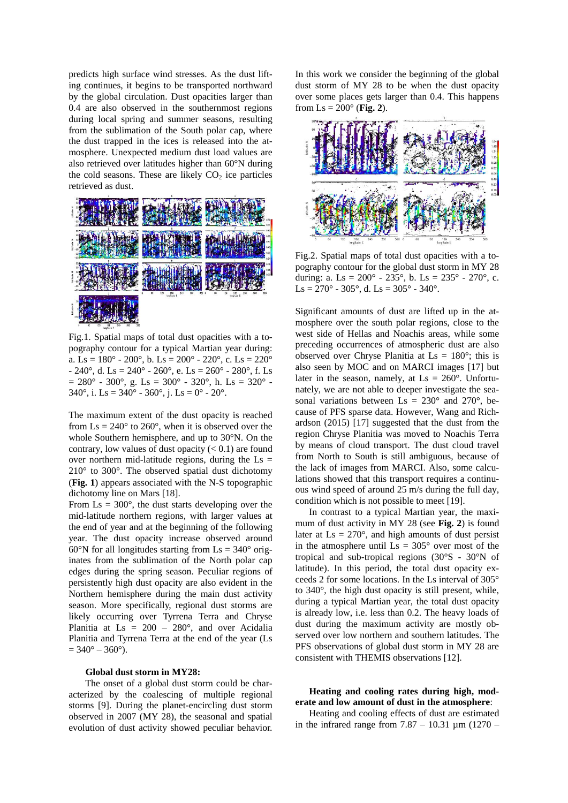predicts high surface wind stresses. As the dust lifting continues, it begins to be transported northward by the global circulation. Dust opacities larger than 0.4 are also observed in the southernmost regions during local spring and summer seasons, resulting from the sublimation of the South polar cap, where the dust trapped in the ices is released into the atmosphere. Unexpected medium dust load values are also retrieved over latitudes higher than 60°N during the cold seasons. These are likely  $CO<sub>2</sub>$  ice particles retrieved as dust.



Fig.1. Spatial maps of total dust opacities with a topography contour for a typical Martian year during: a. Ls =  $180^{\circ}$  -  $200^{\circ}$ , b. Ls =  $200^{\circ}$  -  $220^{\circ}$ , c. Ls =  $220^{\circ}$ - 240°, d. Ls = 240° - 260°, e. Ls = 260° - 280°, f. Ls  $= 280^{\circ} - 300^{\circ}$ , g. Ls = 300° - 320°, h. Ls = 320° -340 $^{\circ}$ , i. Ls = 340 $^{\circ}$  - 360 $^{\circ}$ , i. Ls = 0 $^{\circ}$  - 20 $^{\circ}$ .

The maximum extent of the dust opacity is reached from  $\text{Ls} = 240^\circ$  to  $260^\circ$ , when it is observed over the whole Southern hemisphere, and up to 30°N. On the contrary, low values of dust opacity  $(< 0.1$ ) are found over northern mid-latitude regions, during the  $\text{Ls} =$ 210° to 300°. The observed spatial dust dichotomy (**Fig. 1**) appears associated with the N-S topographic dichotomy line on Mars [18].

From  $\text{Ls} = 300^\circ$ , the dust starts developing over the mid-latitude northern regions, with larger values at the end of year and at the beginning of the following year. The dust opacity increase observed around 60°N for all longitudes starting from  $\text{Ls} = 340^\circ \text{ orig}$ inates from the sublimation of the North polar cap edges during the spring season. Peculiar regions of persistently high dust opacity are also evident in the Northern hemisphere during the main dust activity season. More specifically, regional dust storms are likely occurring over Tyrrena Terra and Chryse Planitia at Ls = 200 – 280°, and over Acidalia Planitia and Tyrrena Terra at the end of the year (Ls  $= 340^{\circ} - 360^{\circ}$ .

### **Global dust storm in MY28:**

 The onset of a global dust storm could be characterized by the coalescing of multiple regional storms [9]. During the planet-encircling dust storm observed in 2007 (MY 28), the seasonal and spatial evolution of dust activity showed peculiar behavior.

In this work we consider the beginning of the global dust storm of MY 28 to be when the dust opacity over some places gets larger than 0.4. This happens from  $Ls = 200^{\circ}$  (**Fig. 2**).



Fig.2. Spatial maps of total dust opacities with a topography contour for the global dust storm in MY 28 during: a. Ls =  $200^{\circ}$  -  $235^{\circ}$ , b. Ls =  $235^{\circ}$  -  $270^{\circ}$ , c. Ls =  $270^{\circ}$  -  $305^{\circ}$ , d. Ls =  $305^{\circ}$  -  $340^{\circ}$ .

Significant amounts of dust are lifted up in the atmosphere over the south polar regions, close to the west side of Hellas and Noachis areas, while some preceding occurrences of atmospheric dust are also observed over Chryse Planitia at  $\text{Ls} = 180^\circ$ ; this is also seen by MOC and on MARCI images [17] but later in the season, namely, at  $\text{Ls} = 260^\circ$ . Unfortunately, we are not able to deeper investigate the seasonal variations between  $\text{Ls} = 230^\circ$  and  $270^\circ$ , because of PFS sparse data. However, Wang and Richardson (2015) [17] suggested that the dust from the region Chryse Planitia was moved to Noachis Terra by means of cloud transport. The dust cloud travel from North to South is still ambiguous, because of the lack of images from MARCI. Also, some calculations showed that this transport requires a continuous wind speed of around 25 m/s during the full day, condition which is not possible to meet [19].

In contrast to a typical Martian year, the maximum of dust activity in MY 28 (see **Fig. 2**) is found later at  $\text{Ls} = 270^\circ$ , and high amounts of dust persist in the atmosphere until  $\text{Ls} = 305^\circ$  over most of the tropical and sub-tropical regions (30°S - 30°N of latitude). In this period, the total dust opacity exceeds 2 for some locations. In the Ls interval of 305° to 340°, the high dust opacity is still present, while, during a typical Martian year, the total dust opacity is already low, i.e. less than 0.2. The heavy loads of dust during the maximum activity are mostly observed over low northern and southern latitudes. The PFS observations of global dust storm in MY 28 are consistent with THEMIS observations [12].

**Heating and cooling rates during high, moderate and low amount of dust in the atmosphere**:

Heating and cooling effects of dust are estimated in the infrared range from  $7.87 - 10.31$  µm  $(1270 -$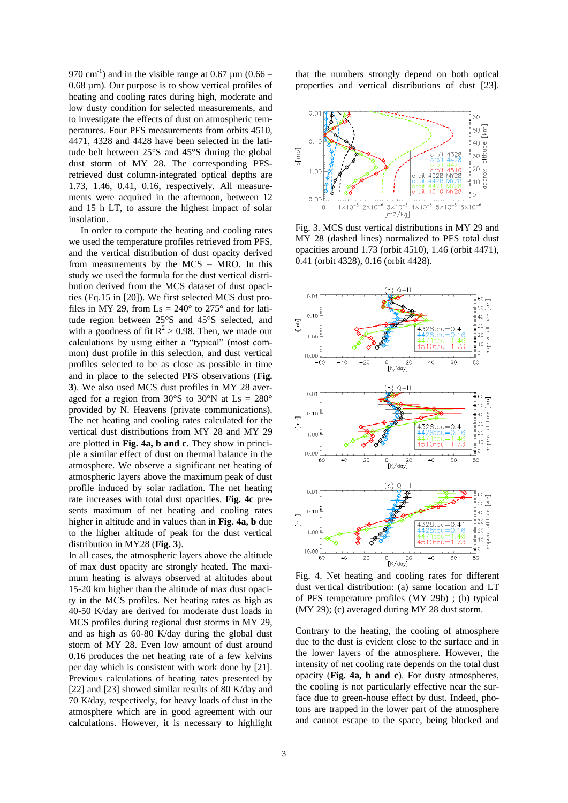970 cm<sup>-1</sup>) and in the visible range at 0.67  $\mu$ m (0.66 – 0.68 µm). Our purpose is to show vertical profiles of heating and cooling rates during high, moderate and low dusty condition for selected measurements, and to investigate the effects of dust on atmospheric temperatures. Four PFS measurements from orbits 4510, 4471, 4328 and 4428 have been selected in the latitude belt between 25°S and 45°S during the global dust storm of MY 28. The corresponding PFSretrieved dust column-integrated optical depths are 1.73, 1.46, 0.41, 0.16, respectively. All measurements were acquired in the afternoon, between 12 and 15 h LT, to assure the highest impact of solar insolation.

 In order to compute the heating and cooling rates we used the temperature profiles retrieved from PFS, and the vertical distribution of dust opacity derived from measurements by the MCS – MRO. In this study we used the formula for the dust vertical distribution derived from the MCS dataset of dust opacities (Eq.15 in [20]). We first selected MCS dust profiles in MY 29, from  $\text{Ls} = 240^\circ$  to 275° and for latitude region between 25°S and 45°S selected, and with a goodness of fit  $R^2 > 0.98$ . Then, we made our calculations by using either a "typical" (most common) dust profile in this selection, and dust vertical profiles selected to be as close as possible in time and in place to the selected PFS observations (**Fig. 3**). We also used MCS dust profiles in MY 28 averaged for a region from  $30^{\circ}$ S to  $30^{\circ}$ N at Ls =  $280^{\circ}$ provided by N. Heavens (private communications). The net heating and cooling rates calculated for the vertical dust distributions from MY 28 and MY 29 are plotted in **Fig. 4a, b and c**. They show in principle a similar effect of dust on thermal balance in the atmosphere. We observe a significant net heating of atmospheric layers above the maximum peak of dust profile induced by solar radiation. The net heating rate increases with total dust opacities. **Fig. 4c** presents maximum of net heating and cooling rates higher in altitude and in values than in **Fig. 4a, b** due to the higher altitude of peak for the dust vertical distribution in MY28 (**Fig. 3**).

In all cases, the atmospheric layers above the altitude of max dust opacity are strongly heated. The maximum heating is always observed at altitudes about 15-20 km higher than the altitude of max dust opacity in the MCS profiles. Net heating rates as high as 40-50 K/day are derived for moderate dust loads in MCS profiles during regional dust storms in MY 29, and as high as 60-80 K/day during the global dust storm of MY 28. Even low amount of dust around 0.16 produces the net heating rate of a few kelvins per day which is consistent with work done by [21]. Previous calculations of heating rates presented by [22] and [23] showed similar results of 80 K/day and 70 K/day, respectively, for heavy loads of dust in the atmosphere which are in good agreement with our calculations. However, it is necessary to highlight

that the numbers strongly depend on both optical properties and vertical distributions of dust [23].



Fig. 3. MCS dust vertical distributions in MY 29 and MY 28 (dashed lines) normalized to PFS total dust opacities around 1.73 (orbit 4510), 1.46 (orbit 4471), 0.41 (orbit 4328), 0.16 (orbit 4428).



Fig. 4. Net heating and cooling rates for different dust vertical distribution: (a) same location and LT of PFS temperature profiles (MY 29b) ; (b) typical (MY 29); (c) averaged during MY 28 dust storm.

Contrary to the heating, the cooling of atmosphere due to the dust is evident close to the surface and in the lower layers of the atmosphere. However, the intensity of net cooling rate depends on the total dust opacity (**Fig. 4a, b and c**). For dusty atmospheres, the cooling is not particularly effective near the surface due to green-house effect by dust. Indeed, photons are trapped in the lower part of the atmosphere and cannot escape to the space, being blocked and